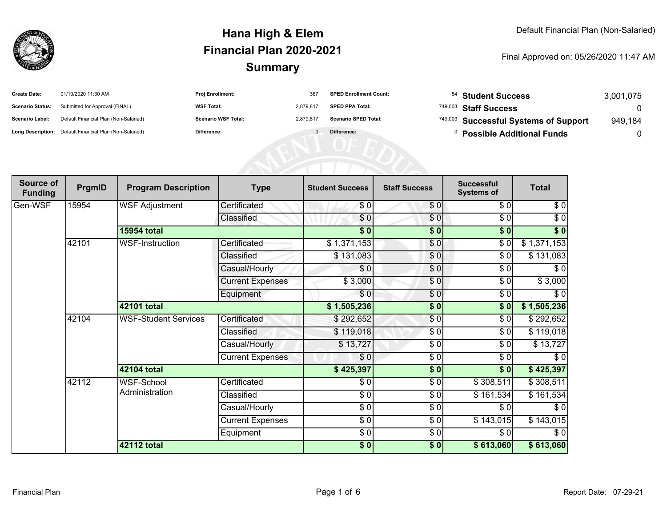

| <b>Create Date:</b>     | 01/10/2020 11:30 AM                                     | <b>Proj Enrollment:</b>    | 367       | <b>SPED Enrollment Count:</b> |                                  | 54 Student Success                    | 3,001,075 |
|-------------------------|---------------------------------------------------------|----------------------------|-----------|-------------------------------|----------------------------------|---------------------------------------|-----------|
| <b>Scenario Status:</b> | Submitted for Approval (FINAL)                          | <b>WSF Total:</b>          | 2,879,817 | <b>SPED PPA Total:</b>        |                                  | <sup>749,003</sup> Staff Success      |           |
| <b>Scenario Label:</b>  | Default Financial Plan (Non-Salaried)                   | <b>Scenario WSF Total:</b> | 2,879,817 | <b>Scenario SPED Total:</b>   |                                  | 749,003 Successful Systems of Support | 949,184   |
|                         | Long Description: Default Financial Plan (Non-Salaried) | Difference:                |           | Difference:                   | <b>Possible Additional Funds</b> |                                       |           |
|                         |                                                         |                            |           |                               |                                  |                                       |           |
|                         |                                                         |                            |           |                               |                                  |                                       |           |
|                         |                                                         |                            |           |                               |                                  |                                       |           |

| Source of<br><b>Funding</b> | PrgmID | <b>Program Description</b>  | <b>Type</b>             | <b>Student Success</b> | <b>Staff Success</b> | <b>Successful</b><br><b>Systems of</b> | <b>Total</b> |
|-----------------------------|--------|-----------------------------|-------------------------|------------------------|----------------------|----------------------------------------|--------------|
| Gen-WSF                     | 15954  | <b>WSF Adjustment</b>       | Certificated            | \$0                    | \$0                  | \$0                                    | \$0          |
|                             |        |                             | Classified              | \$0                    | \$0                  | \$0                                    | $\sqrt{6}$   |
|                             |        | <b>15954 total</b>          |                         | \$0                    | $\frac{1}{2}$        | \$0                                    | $\sqrt[6]{}$ |
|                             | 42101  | WSF-Instruction             | Certificated            | \$1,371,153            | $\frac{6}{3}$        | \$0                                    | \$1,371,153  |
|                             |        |                             | Classified              | \$131,083              | \$0                  | $\sqrt{6}$                             | \$131,083    |
|                             |        |                             | Casual/Hourly           | \$0                    | $\frac{6}{6}$        | $\frac{1}{\sqrt{2}}$                   | $\sqrt{6}$   |
|                             |        |                             | <b>Current Expenses</b> | \$3,000                | \$0                  | \$0                                    | \$3,000      |
|                             |        |                             | Equipment               | \$0                    | \$0                  | \$0                                    | $\sqrt{6}$   |
|                             |        | 42101 total                 |                         | \$1,505,236            | $\overline{\bullet}$ | \$0                                    | \$1,505,236  |
|                             | 42104  | <b>WSF-Student Services</b> | Certificated            | \$292,652              | $\frac{6}{3}$        | $\frac{1}{\sqrt{2}}$                   | \$292,652    |
|                             |        |                             | Classified              | \$119,018              | $\frac{1}{\epsilon}$ | \$0                                    | \$119,018    |
|                             |        |                             | Casual/Hourly           | \$13,727               | \$0                  | \$0                                    | \$13,727     |
|                             |        |                             | <b>Current Expenses</b> | $\frac{6}{3}$          | $\frac{3}{6}$        | \$0                                    | $\sqrt{6}$   |
|                             |        | 42104 total                 |                         | \$425,397              | \$0                  | \$0                                    | \$425,397    |
|                             | 42112  | WSF-School                  | Certificated            | \$0                    | \$0                  | \$308,511                              | \$308,511    |
|                             |        | Administration              | Classified              | $\frac{3}{6}$          | $\frac{3}{6}$        | \$161,534                              | \$161,534    |
|                             |        |                             | Casual/Hourly           | $\frac{3}{6}$          | $\sqrt{6}$           | \$0                                    | \$0          |
|                             |        |                             | <b>Current Expenses</b> | $\frac{3}{6}$          | $\frac{6}{6}$        | \$143,015                              | \$143,015    |
|                             |        |                             | Equipment               | $\frac{3}{6}$          | $\frac{3}{6}$        | \$0                                    | \$0          |
|                             |        | 42112 total                 |                         | $\frac{1}{2}$          | \$0]                 | \$613,060                              | \$613,060    |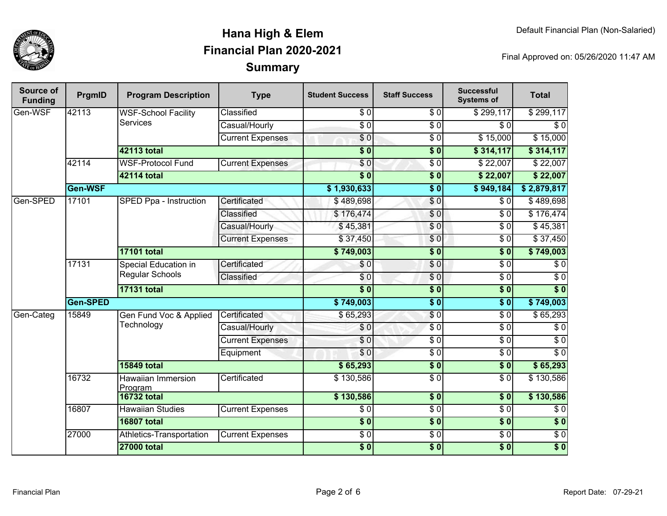

| Source of<br><b>Funding</b> | PrgmID              | <b>Program Description</b>              | <b>Type</b>             | <b>Student Success</b> | <b>Staff Success</b>     | <b>Successful</b><br><b>Systems of</b> | <b>Total</b>     |
|-----------------------------|---------------------|-----------------------------------------|-------------------------|------------------------|--------------------------|----------------------------------------|------------------|
| Gen-WSF                     | 42113               | <b>WSF-School Facility</b><br>Services  | Classified              | $\overline{30}$        | $\overline{\frac{1}{6}}$ | \$299,117                              | \$299,117        |
|                             |                     |                                         | Casual/Hourly           | $\overline{S}0$        | $\sqrt{50}$              | \$0                                    | $\overline{\$0}$ |
|                             |                     |                                         | <b>Current Expenses</b> | $\overline{\$0}$       | $\overline{S}0$          | \$15,000                               | \$15,000         |
|                             |                     | <b>42113 total</b>                      |                         | $\overline{\$0}$       | $\overline{\$0}$         | \$314,117                              | \$314,117        |
|                             | 42114               | <b>WSF-Protocol Fund</b>                | <b>Current Expenses</b> | \$0                    | $\sqrt{6}$               | \$22,007                               | \$22,007         |
|                             |                     | 42114 total                             |                         | $\overline{\$0}$       | $\overline{\$0}$         | \$22,007                               | \$22,007         |
|                             | Gen-WSF             |                                         |                         | \$1,930,633            | $\overline{\$0}$         | \$949,184                              | \$2,879,817      |
| Gen-SPED                    | 17101               | <b>SPED Ppa - Instruction</b>           | Certificated            | \$489,698              | $\frac{6}{3}$            | \$0                                    | \$489,698        |
|                             |                     |                                         | Classified              | \$176,474              | \$0                      | $\overline{30}$                        | \$176,474        |
|                             |                     |                                         | Casual/Hourly           | \$45,381               | $\overline{S}0$          | $\overline{S}0$                        | \$45,381         |
|                             |                     |                                         | <b>Current Expenses</b> | \$37,450               | \$0                      | $\overline{\$0}$                       | \$37,450         |
|                             |                     | <b>17101 total</b>                      |                         | \$749,003              | $\overline{\$0}$         | $\overline{\$0}$                       | \$749,003        |
|                             | 17131               | Special Education in<br>Regular Schools | Certificated            | \$0                    | \$0                      | $\sqrt{6}$                             | $\sqrt{6}$       |
|                             |                     |                                         | Classified              | \$0                    | \$0                      | $\overline{\$0}$                       | $\overline{50}$  |
|                             |                     | <b>17131 total</b>                      |                         | $\overline{\$0}$       | $\overline{\$0}$         | $\overline{\$0}$                       | $\overline{\$0}$ |
|                             | Gen-SPED            |                                         |                         | \$749,003              | $\overline{\$0}$         | $\overline{\$0}$                       | \$749,003        |
| Gen-Categ                   | 15849<br>Technology | Gen Fund Voc & Applied                  | Certificated            | \$65,293               | \$0                      | $\sqrt{6}$                             | \$65,293         |
|                             |                     |                                         | Casual/Hourly           | \$0                    | $\sqrt{50}$              | $\overline{30}$                        | $\overline{\$0}$ |
|                             |                     |                                         | <b>Current Expenses</b> | \$0                    | $\sqrt{6}$               | $\overline{30}$                        | $\overline{50}$  |
|                             |                     |                                         | Equipment               | \$0                    | $\frac{3}{6}$            | $\overline{30}$                        | $\overline{\$0}$ |
|                             |                     | <b>15849 total</b>                      |                         | \$65,293               | $\overline{\$0}$         | $\overline{\$0}$                       | \$65,293         |
|                             | 16732               | Hawaiian Immersion<br>Program           | Certificated            | \$130,586              | $\frac{3}{6}$            | $\overline{\$0}$                       | \$130,586        |
|                             |                     | <b>16732 total</b>                      |                         | \$130,586              | \$0                      | $\overline{\textbf{S}^0}$              | \$130,586        |
|                             | 16807               | <b>Hawaiian Studies</b>                 | <b>Current Expenses</b> | $\overline{\$0}$       | $\overline{\frac{6}{9}}$ | $\overline{\$0}$                       | $\overline{\$0}$ |
|                             |                     | <b>16807 total</b>                      |                         | $\frac{1}{6}$          | $\overline{\$0}$         | \$0                                    | $\sqrt{6}$       |
|                             | 27000               | Athletics-Transportation                | <b>Current Expenses</b> | $\overline{\$0}$       | $\overline{\$0}$         | $\overline{30}$                        | $\overline{$}0$  |
|                             |                     | <b>27000 total</b>                      |                         | \$0                    | $\overline{\$0}$         | \$0                                    | $\overline{\$0}$ |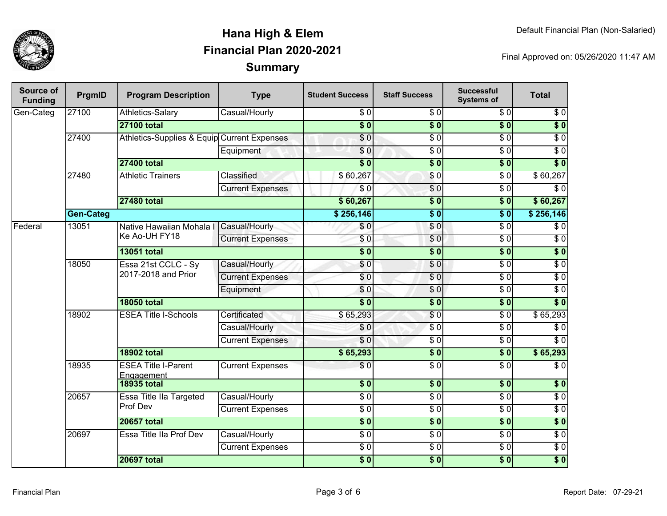

| Source of<br><b>Funding</b> | PrgmID           | <b>Program Description</b>                  | <b>Type</b>             | <b>Student Success</b> | <b>Staff Success</b>   | <b>Successful</b><br><b>Systems of</b> | <b>Total</b>     |
|-----------------------------|------------------|---------------------------------------------|-------------------------|------------------------|------------------------|----------------------------------------|------------------|
| Gen-Categ                   | 27100            | Athletics-Salary                            | Casual/Hourly           | \$0                    | \$0                    | \$0                                    | \$0              |
|                             |                  | <b>27100 total</b>                          |                         | $\overline{\$0}$       | $\overline{\$0}$       | $\overline{\$0}$                       | $\overline{\$0}$ |
|                             | 27400            | Athletics-Supplies & Equip Current Expenses |                         | $\overline{\$0}$       | $\sqrt{6}$             | $\overline{\$0}$                       | $\overline{\$0}$ |
|                             |                  |                                             | Equipment               | \$0                    | $\overline{\$0}$       | $\overline{\$0}$                       | $\overline{S}0$  |
|                             |                  | <b>27400 total</b>                          |                         | $\overline{\$0}$       | $\overline{\$}0$       | $\overline{\$0}$                       | $\overline{\$0}$ |
|                             | 27480            | <b>Athletic Trainers</b>                    | Classified              | \$60,267               | $\overline{S}0$        | $\overline{\$0}$                       | \$60,267         |
|                             |                  |                                             | <b>Current Expenses</b> | $\overline{\$0}$       | $\sqrt{0}$             | $\overline{\$0}$                       | $\overline{\$0}$ |
|                             |                  | <b>27480 total</b>                          |                         | \$60,267               | $\overline{\$0}$       | $\overline{\$0}$                       | \$60,267         |
|                             | <b>Gen-Categ</b> |                                             |                         | \$256,146              | $\overline{\$0}$       | $\overline{\$0}$                       | \$256,146        |
| Federal                     | 13051            | Native Hawaiian Mohala I<br>Ke Ao-UH FY18   | Casual/Hourly           | \$0                    | $\overline{S}0$        | $\overline{50}$                        | $\overline{30}$  |
|                             |                  |                                             | <b>Current Expenses</b> | \$0                    | \$0                    | $\overline{\$0}$                       | $\overline{\$0}$ |
|                             |                  | <b>13051 total</b>                          |                         | $\overline{\$0}$       | $\overline{\bullet}$ 0 | $\overline{\$0}$                       | $\overline{\$0}$ |
|                             | 18050            | Essa 21st CCLC - Sy<br>2017-2018 and Prior  | Casual/Hourly           | \$0                    | \$0                    | $\overline{\$0}$                       | $\overline{\$0}$ |
|                             |                  |                                             | <b>Current Expenses</b> | \$0                    | $\overline{\$0}$       | $\overline{\$0}$                       | $\overline{30}$  |
|                             |                  |                                             | Equipment               | \$0                    | \$0                    | $\overline{\$0}$                       | $\overline{\$0}$ |
|                             |                  | <b>18050 total</b>                          |                         | $\overline{\$0}$       | $\overline{\$}0$       | $\overline{\$0}$                       | $\overline{\$0}$ |
|                             | 18902            | <b>ESEA Title I-Schools</b>                 | Certificated            | \$65,293               | \$0                    | $\overline{\$0}$                       | \$65,293         |
|                             |                  |                                             | Casual/Hourly           | \$0                    | $\overline{S}0$        | $\overline{\$0}$                       | $\overline{30}$  |
|                             |                  |                                             | <b>Current Expenses</b> | \$0                    | $\overline{\$0}$       | $\overline{\$0}$                       | $\overline{\$0}$ |
|                             |                  | <b>18902 total</b>                          |                         | \$65,293               | $\overline{\$0}$       | $\overline{\$0}$                       | \$65,293         |
|                             | 18935            | <b>ESEA Title I-Parent</b><br>Engagement    | <b>Current Expenses</b> | $\overline{\$0}$       | $\overline{\$0}$       | $\overline{50}$                        | $\overline{\$0}$ |
|                             |                  | <b>18935 total</b>                          |                         | \$0                    | $\overline{\$0}$       | $\overline{\$0}$                       | $\overline{\$0}$ |
|                             | 20657            | Essa Title IIa Targeted<br>Prof Dev         | Casual/Hourly           | $\overline{\$0}$       | $\overline{\$0}$       | $\overline{\$0}$                       | $\overline{\$0}$ |
|                             |                  |                                             | <b>Current Expenses</b> | $\overline{\$0}$       | $\overline{\$0}$       | $\overline{\$0}$                       | $\overline{\$0}$ |
|                             |                  | <b>20657 total</b>                          |                         | $\overline{\$0}$       | $\overline{\$0}$       | $\overline{\$0}$                       | $\overline{\$0}$ |
|                             | 20697            | Essa Title IIa Prof Dev                     | Casual/Hourly           | $\overline{\$0}$       | $\overline{\$0}$       | $\overline{\$0}$                       | $\overline{\$0}$ |
|                             |                  |                                             | <b>Current Expenses</b> | $\overline{\$0}$       | $\overline{\$0}$       | $\overline{\$0}$                       | $\overline{\$0}$ |
|                             |                  | <b>20697 total</b>                          |                         | $\overline{\$0}$       | $\overline{\$0}$       | $\overline{\$0}$                       | $\overline{\$0}$ |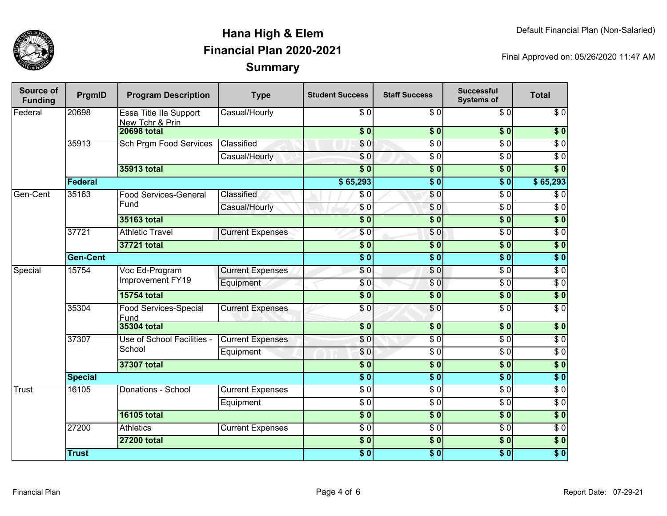

| Source of<br><b>Funding</b> | PrgmID          | <b>Program Description</b>                | <b>Type</b>             | <b>Student Success</b>    | <b>Staff Success</b> | <b>Successful</b><br><b>Systems of</b> | <b>Total</b>     |
|-----------------------------|-----------------|-------------------------------------------|-------------------------|---------------------------|----------------------|----------------------------------------|------------------|
| Federal                     | 20698           | Essa Title IIa Support<br>New Tchr & Prin | Casual/Hourly           | $\sqrt{6}$                | $\sqrt{6}$           | $\sqrt{6}$                             | $\sqrt{6}$       |
|                             |                 | <b>20698 total</b>                        |                         | $\overline{\$0}$          | $\overline{\$0}$     | $\overline{\$0}$                       | $\overline{\$0}$ |
|                             | 35913           | <b>Sch Prgm Food Services</b>             | Classified              | \$0                       | $\overline{\$0}$     | $\overline{\$0}$                       | $\overline{\$0}$ |
|                             |                 |                                           | Casual/Hourly           | \$0                       | $\overline{\$0}$     | $\overline{\$0}$                       | $\overline{\$0}$ |
|                             |                 | 35913 total                               |                         | $\overline{\textbf{S}^0}$ | $\overline{\$0}$     | s <sub>0</sub>                         | $\overline{\$0}$ |
|                             | Federal         |                                           |                         | \$65,293                  | $\overline{\$0}$     | $\overline{\$0}$                       | \$65,293         |
| Gen-Cent                    | 35163           | <b>Food Services-General</b>              | Classified              | \$0                       | \$0                  | $\overline{\$0}$                       | $\overline{\$0}$ |
|                             |                 | Fund                                      | Casual/Hourly           | $\overline{\$0}$          | \$0                  | $\overline{\$0}$                       | $\overline{\$0}$ |
|                             |                 | <b>35163 total</b>                        |                         | $\overline{\$0}$          | $\overline{\$}0$     | $\overline{\$0}$                       | $\overline{\$0}$ |
|                             | 37721           | <b>Athletic Travel</b>                    | <b>Current Expenses</b> | \$0                       | $\overline{\$0}$     | $\overline{\$0}$                       | $\overline{\$0}$ |
|                             |                 | 37721 total                               |                         | \$0                       | $\sqrt{6}$           | \$0                                    | $\sqrt{6}$       |
|                             | <b>Gen-Cent</b> |                                           |                         | $\overline{\$0}$          | $\overline{\$0}$     | $\overline{\$0}$                       | $\overline{\$0}$ |
| Special                     | 15754           | Voc Ed-Program<br>Improvement FY19        | <b>Current Expenses</b> | $\sqrt{6}$                | $\overline{\$0}$     | $\overline{\$0}$                       | $\overline{\$0}$ |
|                             |                 |                                           | Equipment               | \$0                       | $\sqrt{0}$           | $\overline{\$0}$                       | $\overline{\$0}$ |
|                             |                 | <b>15754 total</b>                        |                         | $\overline{\$0}$          | $\overline{\$0}$     | \$0                                    | $\sqrt{ }$       |
|                             | 35304           | Food Services-Special<br>Fund             | <b>Current Expenses</b> | \$0                       | $\overline{\$0}$     | $\overline{\$0}$                       | $\overline{\$0}$ |
|                             |                 | <b>35304 total</b>                        |                         | $\sqrt{6}$                | \$0                  | \$0                                    | \$0              |
|                             | 37307           | Use of School Facilities -<br>School      | <b>Current Expenses</b> | \$0                       | $\sqrt{6}$           | $\sqrt{6}$                             | $\sqrt{6}$       |
|                             |                 |                                           | Equipment               | \$0                       | $\sqrt{6}$           | $\sqrt{6}$                             | $\sqrt{6}$       |
|                             |                 | <b>37307 total</b>                        |                         | $\sqrt{6}$                | $\sqrt{6}$           | \$0                                    | $\overline{\$0}$ |
|                             | <b>Special</b>  |                                           |                         | $\overline{\$0}$          | $\overline{\$0}$     | $\overline{\$0}$                       | $\overline{\$0}$ |
| <b>Trust</b>                | 16105           | Donations - School                        | <b>Current Expenses</b> | $\overline{30}$           | $\sqrt{6}$           | $\overline{S}0$                        | $\overline{S}0$  |
|                             |                 |                                           | Equipment               | $\sqrt{6}$                | $\sqrt{6}$           | $\sqrt{6}$                             | $\sqrt{6}$       |
|                             |                 | <b>16105 total</b>                        |                         | \$0                       | $\sqrt{6}$           | \$0                                    | \$0              |
|                             | 27200           | <b>Athletics</b>                          | <b>Current Expenses</b> | $\overline{30}$           | $\sqrt{6}$           | $\overline{S}0$                        | $\sqrt{6}$       |
|                             |                 | <b>27200 total</b>                        |                         | \$0                       | $\overline{\$0}$     | \$0                                    | $\overline{\$0}$ |
|                             | <b>Trust</b>    |                                           |                         | \$0                       | $\sqrt{6}$           | \$0                                    | $\overline{\$0}$ |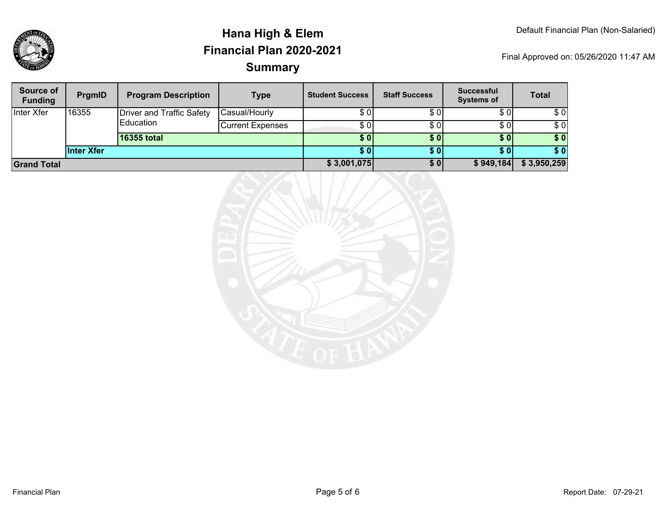

| Source of<br><b>Funding</b> | <b>PrgmID</b>     | <b>Program Description</b>                    | <b>Type</b>             | <b>Student Success</b> | <b>Staff Success</b> | <b>Successful</b><br><b>Systems of</b> | <b>Total</b> |
|-----------------------------|-------------------|-----------------------------------------------|-------------------------|------------------------|----------------------|----------------------------------------|--------------|
| Inter Xfer                  | 16355             | <b>Driver and Traffic Safety</b><br>Education | Casual/Hourly           | \$01                   | \$0                  | \$0                                    | \$0          |
|                             |                   |                                               | <b>Current Expenses</b> | \$ 01                  | \$0                  | \$0                                    | \$0          |
|                             |                   | 16355 total                                   |                         | <b>SOI</b>             | <b>\$0</b>           | \$0 <sub>1</sub>                       | \$0          |
|                             | <b>Inter Xfer</b> |                                               |                         | S 0 I                  | <b>SO</b>            | \$01                                   | \$0          |
| <b>Grand Total</b>          |                   |                                               |                         | \$3,001,075            | \$0                  | \$949,184                              | \$3,950,259  |